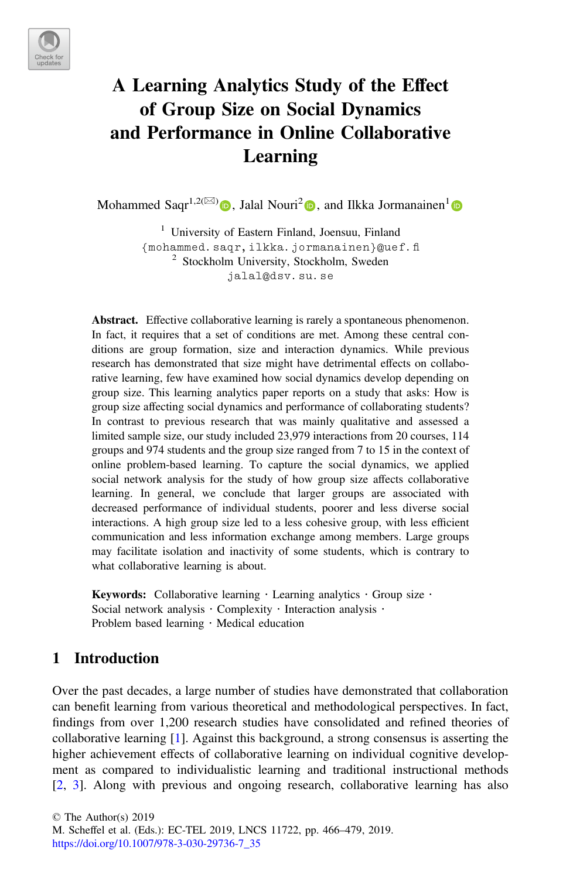

# A Learning Analytics Study of the Effect of Group Size on Social Dynamics and Performance in Online Collaborative Learning

Mohammed Saqr<sup>[1](http://orcid.org/0000-0003-3254-2480),2( $\boxtimes$ )</sup>  $\Box$ , Jalal Nouri<sup>2</sup> $\Box$ , and Ilkka Jormanainen<sup>1</sup>

<sup>1</sup> University of Eastern Finland, Joensuu, Finland {mohammed.saqr,ilkka.jormanainen}@uef.fi <sup>2</sup> Stockholm University, Stockholm, Sweden jalal@dsv.su.se

Abstract. Effective collaborative learning is rarely a spontaneous phenomenon. In fact, it requires that a set of conditions are met. Among these central conditions are group formation, size and interaction dynamics. While previous research has demonstrated that size might have detrimental effects on collaborative learning, few have examined how social dynamics develop depending on group size. This learning analytics paper reports on a study that asks: How is group size affecting social dynamics and performance of collaborating students? In contrast to previous research that was mainly qualitative and assessed a limited sample size, our study included 23,979 interactions from 20 courses, 114 groups and 974 students and the group size ranged from 7 to 15 in the context of online problem-based learning. To capture the social dynamics, we applied social network analysis for the study of how group size affects collaborative learning. In general, we conclude that larger groups are associated with decreased performance of individual students, poorer and less diverse social interactions. A high group size led to a less cohesive group, with less efficient communication and less information exchange among members. Large groups may facilitate isolation and inactivity of some students, which is contrary to what collaborative learning is about.

**Keywords:** Collaborative learning  $\cdot$  Learning analytics  $\cdot$  Group size  $\cdot$  Social network analysis  $\cdot$  Complexity  $\cdot$  Interaction analysis  $\cdot$  Problem based learning  $\cdot$  Medical education

## 1 Introduction

Over the past decades, a large number of studies have demonstrated that collaboration can benefit learning from various theoretical and methodological perspectives. In fact, findings from over 1,200 research studies have consolidated and refined theories of collaborative learning [\[1](#page-10-0)]. Against this background, a strong consensus is asserting the higher achievement effects of collaborative learning on individual cognitive development as compared to individualistic learning and traditional instructional methods [[2,](#page-10-0) [3](#page-11-0)]. Along with previous and ongoing research, collaborative learning has also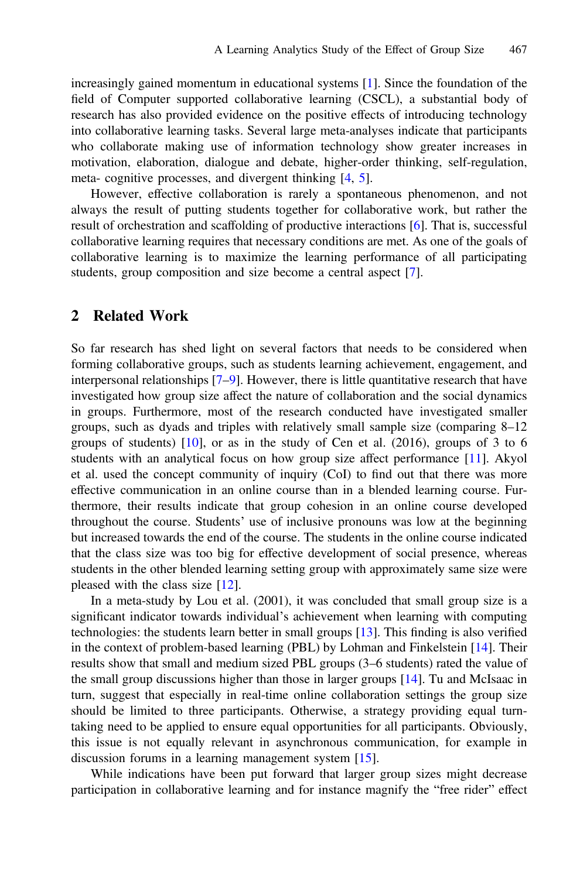increasingly gained momentum in educational systems [[1\]](#page-10-0). Since the foundation of the field of Computer supported collaborative learning (CSCL), a substantial body of research has also provided evidence on the positive effects of introducing technology into collaborative learning tasks. Several large meta-analyses indicate that participants who collaborate making use of information technology show greater increases in motivation, elaboration, dialogue and debate, higher-order thinking, self-regulation, meta- cognitive processes, and divergent thinking [\[4](#page-11-0), [5](#page-11-0)].

However, effective collaboration is rarely a spontaneous phenomenon, and not always the result of putting students together for collaborative work, but rather the result of orchestration and scaffolding of productive interactions [[6\]](#page-11-0). That is, successful collaborative learning requires that necessary conditions are met. As one of the goals of collaborative learning is to maximize the learning performance of all participating students, group composition and size become a central aspect [\[7](#page-11-0)].

#### 2 Related Work

So far research has shed light on several factors that needs to be considered when forming collaborative groups, such as students learning achievement, engagement, and interpersonal relationships [[7](#page-11-0)–[9\]](#page-11-0). However, there is little quantitative research that have investigated how group size affect the nature of collaboration and the social dynamics in groups. Furthermore, most of the research conducted have investigated smaller groups, such as dyads and triples with relatively small sample size (comparing 8–12 groups of students)  $[10]$  $[10]$ , or as in the study of Cen et al.  $(2016)$ , groups of 3 to 6 students with an analytical focus on how group size affect performance [\[11](#page-11-0)]. Akyol et al. used the concept community of inquiry (CoI) to find out that there was more effective communication in an online course than in a blended learning course. Furthermore, their results indicate that group cohesion in an online course developed throughout the course. Students' use of inclusive pronouns was low at the beginning but increased towards the end of the course. The students in the online course indicated that the class size was too big for effective development of social presence, whereas students in the other blended learning setting group with approximately same size were pleased with the class size [\[12](#page-11-0)].

In a meta-study by Lou et al. (2001), it was concluded that small group size is a significant indicator towards individual's achievement when learning with computing technologies: the students learn better in small groups [[13\]](#page-11-0). This finding is also verified in the context of problem-based learning (PBL) by Lohman and Finkelstein [\[14](#page-11-0)]. Their results show that small and medium sized PBL groups (3–6 students) rated the value of the small group discussions higher than those in larger groups [[14\]](#page-11-0). Tu and McIsaac in turn, suggest that especially in real-time online collaboration settings the group size should be limited to three participants. Otherwise, a strategy providing equal turntaking need to be applied to ensure equal opportunities for all participants. Obviously, this issue is not equally relevant in asynchronous communication, for example in discussion forums in a learning management system [[15\]](#page-11-0).

While indications have been put forward that larger group sizes might decrease participation in collaborative learning and for instance magnify the "free rider" effect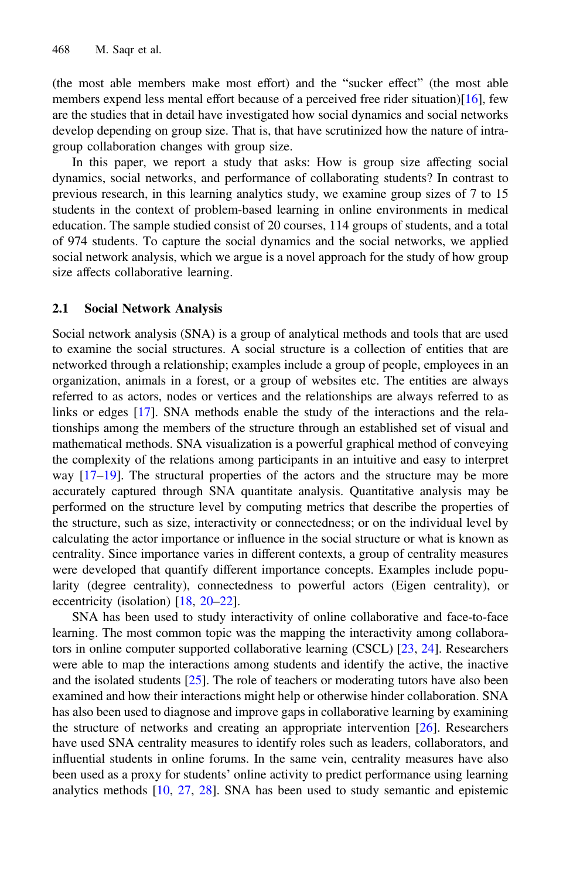(the most able members make most effort) and the "sucker effect" (the most able members expend less mental effort because of a perceived free rider situation)[\[16](#page-11-0)], few are the studies that in detail have investigated how social dynamics and social networks develop depending on group size. That is, that have scrutinized how the nature of intragroup collaboration changes with group size.

In this paper, we report a study that asks: How is group size affecting social dynamics, social networks, and performance of collaborating students? In contrast to previous research, in this learning analytics study, we examine group sizes of 7 to 15 students in the context of problem-based learning in online environments in medical education. The sample studied consist of 20 courses, 114 groups of students, and a total of 974 students. To capture the social dynamics and the social networks, we applied social network analysis, which we argue is a novel approach for the study of how group size affects collaborative learning.

#### 2.1 Social Network Analysis

Social network analysis (SNA) is a group of analytical methods and tools that are used to examine the social structures. A social structure is a collection of entities that are networked through a relationship; examples include a group of people, employees in an organization, animals in a forest, or a group of websites etc. The entities are always referred to as actors, nodes or vertices and the relationships are always referred to as links or edges [\[17](#page-11-0)]. SNA methods enable the study of the interactions and the relationships among the members of the structure through an established set of visual and mathematical methods. SNA visualization is a powerful graphical method of conveying the complexity of the relations among participants in an intuitive and easy to interpret way  $[17-19]$  $[17-19]$  $[17-19]$  $[17-19]$ . The structural properties of the actors and the structure may be more accurately captured through SNA quantitate analysis. Quantitative analysis may be performed on the structure level by computing metrics that describe the properties of the structure, such as size, interactivity or connectedness; or on the individual level by calculating the actor importance or influence in the social structure or what is known as centrality. Since importance varies in different contexts, a group of centrality measures were developed that quantify different importance concepts. Examples include popularity (degree centrality), connectedness to powerful actors (Eigen centrality), or eccentricity (isolation) [[18,](#page-11-0) [20](#page-11-0)–[22\]](#page-11-0).

SNA has been used to study interactivity of online collaborative and face-to-face learning. The most common topic was the mapping the interactivity among collaborators in online computer supported collaborative learning (CSCL) [\[23](#page-12-0), [24](#page-12-0)]. Researchers were able to map the interactions among students and identify the active, the inactive and the isolated students  $[25]$  $[25]$ . The role of teachers or moderating tutors have also been examined and how their interactions might help or otherwise hinder collaboration. SNA has also been used to diagnose and improve gaps in collaborative learning by examining the structure of networks and creating an appropriate intervention [\[26](#page-12-0)]. Researchers have used SNA centrality measures to identify roles such as leaders, collaborators, and influential students in online forums. In the same vein, centrality measures have also been used as a proxy for students' online activity to predict performance using learning analytics methods [[10,](#page-11-0) [27,](#page-12-0) [28\]](#page-12-0). SNA has been used to study semantic and epistemic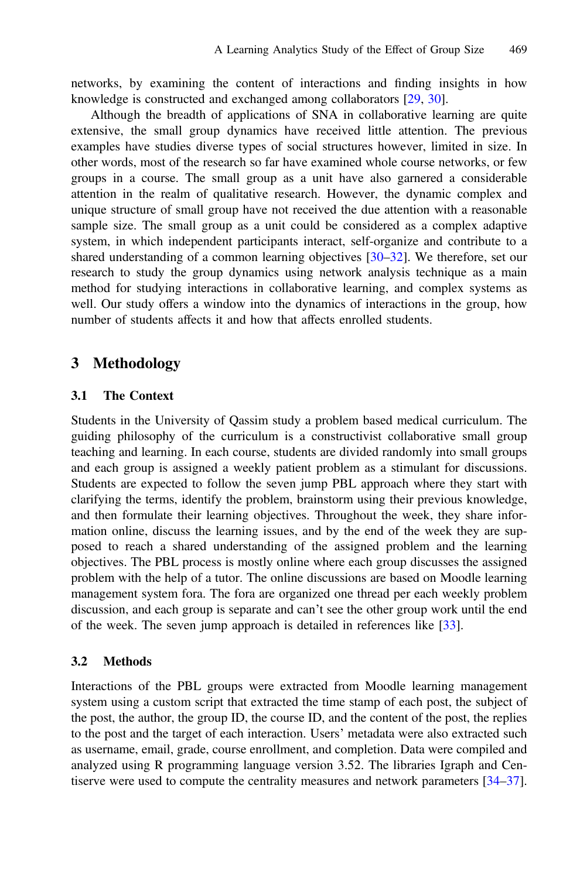networks, by examining the content of interactions and finding insights in how knowledge is constructed and exchanged among collaborators [[29,](#page-12-0) [30](#page-12-0)].

Although the breadth of applications of SNA in collaborative learning are quite extensive, the small group dynamics have received little attention. The previous examples have studies diverse types of social structures however, limited in size. In other words, most of the research so far have examined whole course networks, or few groups in a course. The small group as a unit have also garnered a considerable attention in the realm of qualitative research. However, the dynamic complex and unique structure of small group have not received the due attention with a reasonable sample size. The small group as a unit could be considered as a complex adaptive system, in which independent participants interact, self-organize and contribute to a shared understanding of a common learning objectives [[30](#page-12-0)–[32\]](#page-12-0). We therefore, set our research to study the group dynamics using network analysis technique as a main method for studying interactions in collaborative learning, and complex systems as well. Our study offers a window into the dynamics of interactions in the group, how number of students affects it and how that affects enrolled students.

## 3 Methodology

#### 3.1 The Context

Students in the University of Qassim study a problem based medical curriculum. The guiding philosophy of the curriculum is a constructivist collaborative small group teaching and learning. In each course, students are divided randomly into small groups and each group is assigned a weekly patient problem as a stimulant for discussions. Students are expected to follow the seven jump PBL approach where they start with clarifying the terms, identify the problem, brainstorm using their previous knowledge, and then formulate their learning objectives. Throughout the week, they share information online, discuss the learning issues, and by the end of the week they are supposed to reach a shared understanding of the assigned problem and the learning objectives. The PBL process is mostly online where each group discusses the assigned problem with the help of a tutor. The online discussions are based on Moodle learning management system fora. The fora are organized one thread per each weekly problem discussion, and each group is separate and can't see the other group work until the end of the week. The seven jump approach is detailed in references like [[33\]](#page-12-0).

#### 3.2 Methods

Interactions of the PBL groups were extracted from Moodle learning management system using a custom script that extracted the time stamp of each post, the subject of the post, the author, the group ID, the course ID, and the content of the post, the replies to the post and the target of each interaction. Users' metadata were also extracted such as username, email, grade, course enrollment, and completion. Data were compiled and analyzed using R programming language version 3.52. The libraries Igraph and Centiserve were used to compute the centrality measures and network parameters [[34](#page-12-0)–[37\]](#page-12-0).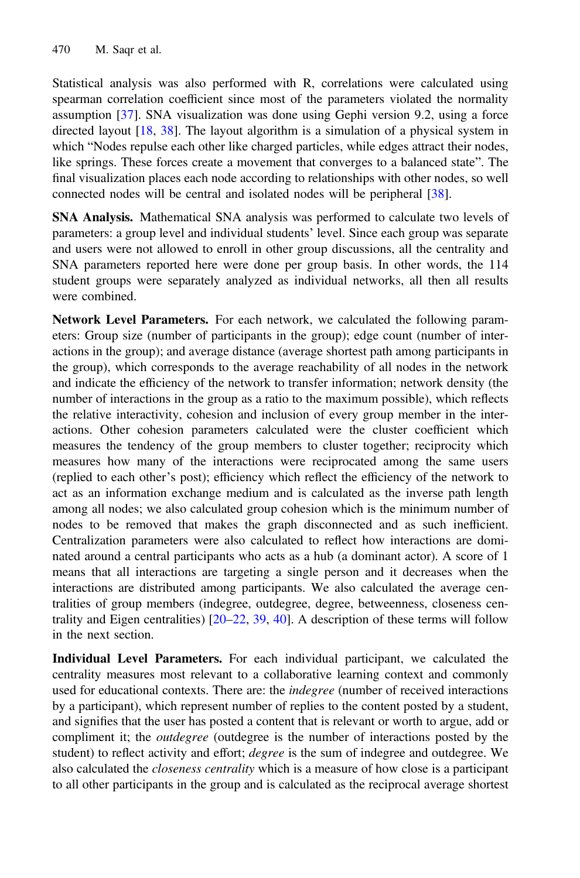Statistical analysis was also performed with R, correlations were calculated using spearman correlation coefficient since most of the parameters violated the normality assumption [\[37](#page-12-0)]. SNA visualization was done using Gephi version 9.2, using a force directed layout [[18,](#page-11-0) [38\]](#page-12-0). The layout algorithm is a simulation of a physical system in which "Nodes repulse each other like charged particles, while edges attract their nodes, like springs. These forces create a movement that converges to a balanced state". The final visualization places each node according to relationships with other nodes, so well connected nodes will be central and isolated nodes will be peripheral [[38\]](#page-12-0).

SNA Analysis. Mathematical SNA analysis was performed to calculate two levels of parameters: a group level and individual students' level. Since each group was separate and users were not allowed to enroll in other group discussions, all the centrality and SNA parameters reported here were done per group basis. In other words, the 114 student groups were separately analyzed as individual networks, all then all results were combined.

Network Level Parameters. For each network, we calculated the following parameters: Group size (number of participants in the group); edge count (number of interactions in the group); and average distance (average shortest path among participants in the group), which corresponds to the average reachability of all nodes in the network and indicate the efficiency of the network to transfer information; network density (the number of interactions in the group as a ratio to the maximum possible), which reflects the relative interactivity, cohesion and inclusion of every group member in the interactions. Other cohesion parameters calculated were the cluster coefficient which measures the tendency of the group members to cluster together; reciprocity which measures how many of the interactions were reciprocated among the same users (replied to each other's post); efficiency which reflect the efficiency of the network to act as an information exchange medium and is calculated as the inverse path length among all nodes; we also calculated group cohesion which is the minimum number of nodes to be removed that makes the graph disconnected and as such inefficient. Centralization parameters were also calculated to reflect how interactions are dominated around a central participants who acts as a hub (a dominant actor). A score of 1 means that all interactions are targeting a single person and it decreases when the interactions are distributed among participants. We also calculated the average centralities of group members (indegree, outdegree, degree, betweenness, closeness centrality and Eigen centralities)  $[20-22, 39, 40]$  $[20-22, 39, 40]$  $[20-22, 39, 40]$  $[20-22, 39, 40]$  $[20-22, 39, 40]$  $[20-22, 39, 40]$  $[20-22, 39, 40]$  $[20-22, 39, 40]$  $[20-22, 39, 40]$ . A description of these terms will follow in the next section.

Individual Level Parameters. For each individual participant, we calculated the centrality measures most relevant to a collaborative learning context and commonly used for educational contexts. There are: the *indegree* (number of received interactions by a participant), which represent number of replies to the content posted by a student, and signifies that the user has posted a content that is relevant or worth to argue, add or compliment it; the *outdegree* (outdegree is the number of interactions posted by the student) to reflect activity and effort; *degree* is the sum of indegree and outdegree. We also calculated the closeness centrality which is a measure of how close is a participant to all other participants in the group and is calculated as the reciprocal average shortest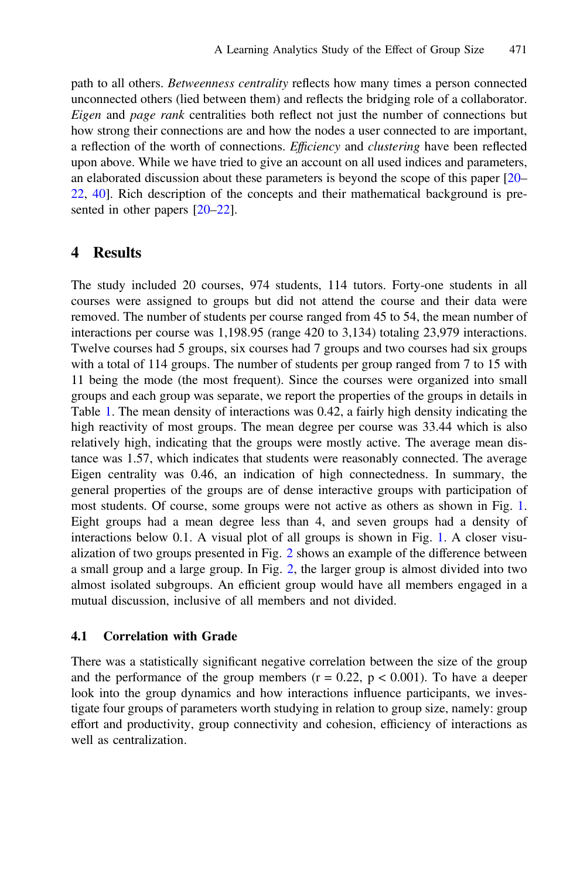path to all others. Betweenness centrality reflects how many times a person connected unconnected others (lied between them) and reflects the bridging role of a collaborator. Eigen and page rank centralities both reflect not just the number of connections but how strong their connections are and how the nodes a user connected to are important, a reflection of the worth of connections. Efficiency and clustering have been reflected upon above. While we have tried to give an account on all used indices and parameters, an elaborated discussion about these parameters is beyond the scope of this paper [[20](#page-11-0)– [22,](#page-11-0) [40](#page-12-0)]. Rich description of the concepts and their mathematical background is presented in other papers  $[20-22]$  $[20-22]$  $[20-22]$  $[20-22]$ .

### 4 Results

The study included 20 courses, 974 students, 114 tutors. Forty-one students in all courses were assigned to groups but did not attend the course and their data were removed. The number of students per course ranged from 45 to 54, the mean number of interactions per course was 1,198.95 (range 420 to 3,134) totaling 23,979 interactions. Twelve courses had 5 groups, six courses had 7 groups and two courses had six groups with a total of 114 groups. The number of students per group ranged from 7 to 15 with 11 being the mode (the most frequent). Since the courses were organized into small groups and each group was separate, we report the properties of the groups in details in Table [1.](#page-7-0) The mean density of interactions was 0.42, a fairly high density indicating the high reactivity of most groups. The mean degree per course was 33.44 which is also relatively high, indicating that the groups were mostly active. The average mean distance was 1.57, which indicates that students were reasonably connected. The average Eigen centrality was 0.46, an indication of high connectedness. In summary, the general properties of the groups are of dense interactive groups with participation of most students. Of course, some groups were not active as others as shown in Fig. [1](#page-6-0). Eight groups had a mean degree less than 4, and seven groups had a density of interactions below 0.1. A visual plot of all groups is shown in Fig. [1](#page-6-0). A closer visualization of two groups presented in Fig. [2](#page-6-0) shows an example of the difference between a small group and a large group. In Fig. [2,](#page-6-0) the larger group is almost divided into two almost isolated subgroups. An efficient group would have all members engaged in a mutual discussion, inclusive of all members and not divided.

#### 4.1 Correlation with Grade

There was a statistically significant negative correlation between the size of the group and the performance of the group members ( $r = 0.22$ ,  $p < 0.001$ ). To have a deeper look into the group dynamics and how interactions influence participants, we investigate four groups of parameters worth studying in relation to group size, namely: group effort and productivity, group connectivity and cohesion, efficiency of interactions as well as centralization.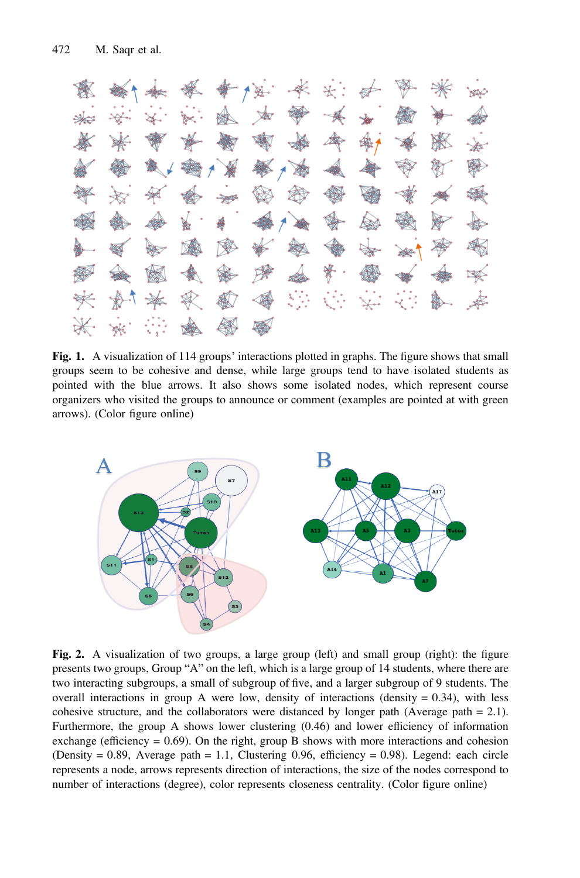<span id="page-6-0"></span>

Fig. 1. A visualization of 114 groups' interactions plotted in graphs. The figure shows that small groups seem to be cohesive and dense, while large groups tend to have isolated students as pointed with the blue arrows. It also shows some isolated nodes, which represent course organizers who visited the groups to announce or comment (examples are pointed at with green arrows). (Color figure online)



Fig. 2. A visualization of two groups, a large group (left) and small group (right): the figure presents two groups, Group "A" on the left, which is a large group of 14 students, where there are two interacting subgroups, a small of subgroup of five, and a larger subgroup of 9 students. The overall interactions in group A were low, density of interactions (density  $= 0.34$ ), with less cohesive structure, and the collaborators were distanced by longer path (Average path  $= 2.1$ ). Furthermore, the group A shows lower clustering (0.46) and lower efficiency of information exchange (efficiency  $= 0.69$ ). On the right, group B shows with more interactions and cohesion (Density  $= 0.89$ , Average path  $= 1.1$ , Clustering 0.96, efficiency  $= 0.98$ ). Legend: each circle represents a node, arrows represents direction of interactions, the size of the nodes correspond to number of interactions (degree), color represents closeness centrality. (Color figure online)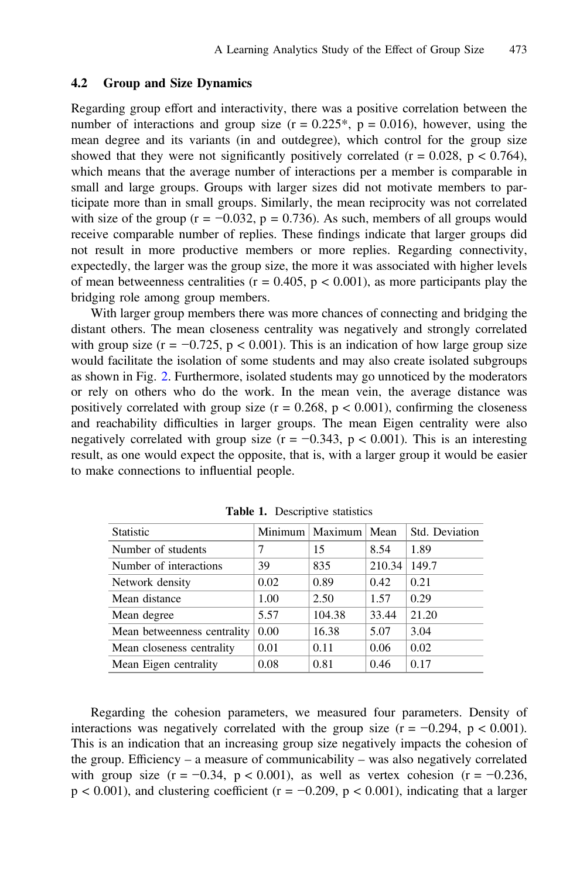#### <span id="page-7-0"></span>4.2 Group and Size Dynamics

Regarding group effort and interactivity, there was a positive correlation between the number of interactions and group size  $(r = 0.225^*$ ,  $p = 0.016$ ), however, using the mean degree and its variants (in and outdegree), which control for the group size showed that they were not significantly positively correlated ( $r = 0.028$ ,  $p < 0.764$ ), which means that the average number of interactions per a member is comparable in small and large groups. Groups with larger sizes did not motivate members to participate more than in small groups. Similarly, the mean reciprocity was not correlated with size of the group ( $r = -0.032$ ,  $p = 0.736$ ). As such, members of all groups would receive comparable number of replies. These findings indicate that larger groups did not result in more productive members or more replies. Regarding connectivity, expectedly, the larger was the group size, the more it was associated with higher levels of mean betweenness centralities ( $r = 0.405$ ,  $p < 0.001$ ), as more participants play the bridging role among group members.

With larger group members there was more chances of connecting and bridging the distant others. The mean closeness centrality was negatively and strongly correlated with group size ( $r = -0.725$ ,  $p < 0.001$ ). This is an indication of how large group size would facilitate the isolation of some students and may also create isolated subgroups as shown in Fig. [2](#page-6-0). Furthermore, isolated students may go unnoticed by the moderators or rely on others who do the work. In the mean vein, the average distance was positively correlated with group size  $(r = 0.268, p < 0.001)$ , confirming the closeness and reachability difficulties in larger groups. The mean Eigen centrality were also negatively correlated with group size ( $r = -0.343$ ,  $p < 0.001$ ). This is an interesting result, as one would expect the opposite, that is, with a larger group it would be easier to make connections to influential people.

| <b>Statistic</b>            |      |                          |        |                |
|-----------------------------|------|--------------------------|--------|----------------|
|                             |      | Minimum   Maximum   Mean |        | Std. Deviation |
| Number of students          |      | 15                       | 8.54   | 1.89           |
| Number of interactions      | 39   | 835                      | 210.34 | 149.7          |
| Network density             | 0.02 | 0.89                     | 0.42   | 0.21           |
| Mean distance               | 1.00 | 2.50                     | 1.57   | 0.29           |
| Mean degree                 | 5.57 | 104.38                   | 33.44  | 21.20          |
| Mean betweenness centrality | 0.00 | 16.38                    | 5.07   | 3.04           |
| Mean closeness centrality   | 0.01 | 0.11                     | 0.06   | 0.02           |
| Mean Eigen centrality       | 0.08 | 0.81                     | 0.46   | 0.17           |

Table 1. Descriptive statistics

Regarding the cohesion parameters, we measured four parameters. Density of interactions was negatively correlated with the group size  $(r = -0.294, p < 0.001)$ . This is an indication that an increasing group size negatively impacts the cohesion of the group. Efficiency – a measure of communicability – was also negatively correlated with group size  $(r = -0.34, p < 0.001)$ , as well as vertex cohesion  $(r = -0.236,$  $p < 0.001$ ), and clustering coefficient (r = −0.209, p < 0.001), indicating that a larger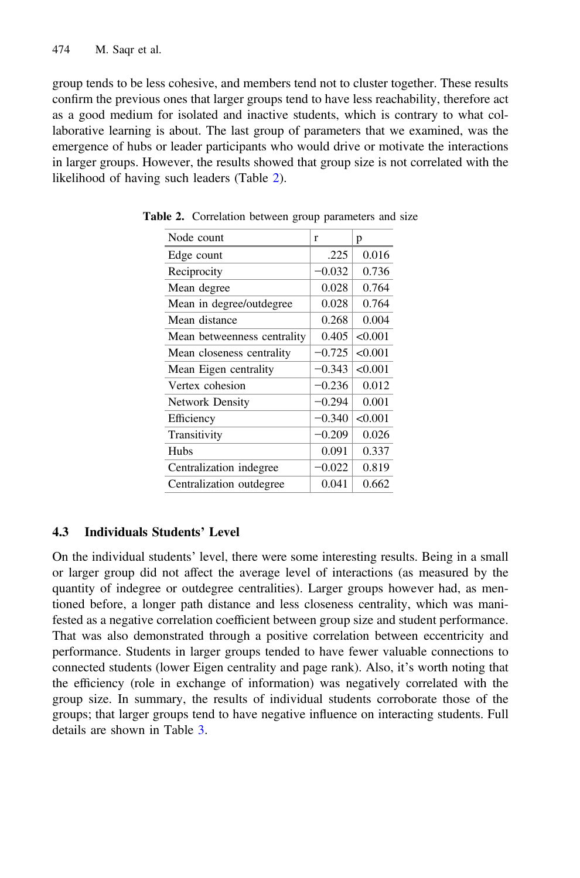group tends to be less cohesive, and members tend not to cluster together. These results confirm the previous ones that larger groups tend to have less reachability, therefore act as a good medium for isolated and inactive students, which is contrary to what collaborative learning is about. The last group of parameters that we examined, was the emergence of hubs or leader participants who would drive or motivate the interactions in larger groups. However, the results showed that group size is not correlated with the likelihood of having such leaders (Table 2).

| Node count                  | r        | p       |
|-----------------------------|----------|---------|
|                             |          |         |
| Edge count                  | .225     | 0.016   |
| Reciprocity                 | $-0.032$ | 0.736   |
| Mean degree                 | 0.028    | 0.764   |
| Mean in degree/outdegree    | 0.028    | 0.764   |
| Mean distance               | 0.268    | 0.004   |
| Mean betweenness centrality | 0.405    | < 0.001 |
| Mean closeness centrality   | $-0.725$ | < 0.001 |
| Mean Eigen centrality       | $-0.343$ | < 0.001 |
| Vertex cohesion             | $-0.236$ | 0.012   |
| Network Density             | $-0.294$ | 0.001   |
| Efficiency                  | $-0.340$ | < 0.001 |
| Transitivity                | $-0.209$ | 0.026   |
| <b>Hubs</b>                 | 0.091    | 0.337   |
| Centralization indegree     | $-0.022$ | 0.819   |
| Centralization outdegree    | 0.041    | 0.662   |

Table 2. Correlation between group parameters and size

## 4.3 Individuals Students' Level

On the individual students' level, there were some interesting results. Being in a small or larger group did not affect the average level of interactions (as measured by the quantity of indegree or outdegree centralities). Larger groups however had, as mentioned before, a longer path distance and less closeness centrality, which was manifested as a negative correlation coefficient between group size and student performance. That was also demonstrated through a positive correlation between eccentricity and performance. Students in larger groups tended to have fewer valuable connections to connected students (lower Eigen centrality and page rank). Also, it's worth noting that the efficiency (role in exchange of information) was negatively correlated with the group size. In summary, the results of individual students corroborate those of the groups; that larger groups tend to have negative influence on interacting students. Full details are shown in Table [3](#page-9-0).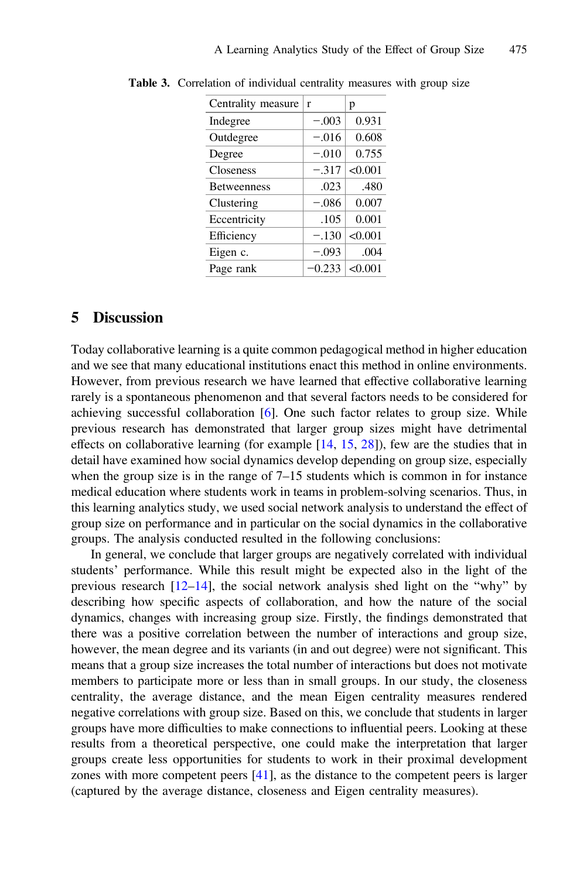| Centrality measure | $\mathbf{r}$ | p       |
|--------------------|--------------|---------|
| Indegree           | $-.003$      | 0.931   |
| Outdegree          | $-.016$      | 0.608   |
| Degree             | $-.010$      | 0.755   |
| Closeness          | $-.317$      | < 0.001 |
| <b>Betweenness</b> | .023         | .480    |
| Clustering         | $-.086$      | 0.007   |
| Eccentricity       | .105         | 0.001   |
| Efficiency         | $-.130$      | < 0.001 |
| Eigen c.           | $-.093$      | .004    |
| Page rank          | $-0.233$     | < 0.001 |

<span id="page-9-0"></span>Table 3. Correlation of individual centrality measures with group size

## 5 Discussion

Today collaborative learning is a quite common pedagogical method in higher education and we see that many educational institutions enact this method in online environments. However, from previous research we have learned that effective collaborative learning rarely is a spontaneous phenomenon and that several factors needs to be considered for achieving successful collaboration [\[6](#page-11-0)]. One such factor relates to group size. While previous research has demonstrated that larger group sizes might have detrimental effects on collaborative learning (for example [[14,](#page-11-0) [15](#page-11-0), [28\]](#page-12-0)), few are the studies that in detail have examined how social dynamics develop depending on group size, especially when the group size is in the range of  $7-15$  students which is common in for instance medical education where students work in teams in problem-solving scenarios. Thus, in this learning analytics study, we used social network analysis to understand the effect of group size on performance and in particular on the social dynamics in the collaborative groups. The analysis conducted resulted in the following conclusions:

In general, we conclude that larger groups are negatively correlated with individual students' performance. While this result might be expected also in the light of the previous research [[12](#page-11-0)–[14](#page-11-0)], the social network analysis shed light on the "why" by describing how specific aspects of collaboration, and how the nature of the social dynamics, changes with increasing group size. Firstly, the findings demonstrated that there was a positive correlation between the number of interactions and group size, however, the mean degree and its variants (in and out degree) were not significant. This means that a group size increases the total number of interactions but does not motivate members to participate more or less than in small groups. In our study, the closeness centrality, the average distance, and the mean Eigen centrality measures rendered negative correlations with group size. Based on this, we conclude that students in larger groups have more difficulties to make connections to influential peers. Looking at these results from a theoretical perspective, one could make the interpretation that larger groups create less opportunities for students to work in their proximal development zones with more competent peers [[41\]](#page-13-0), as the distance to the competent peers is larger (captured by the average distance, closeness and Eigen centrality measures).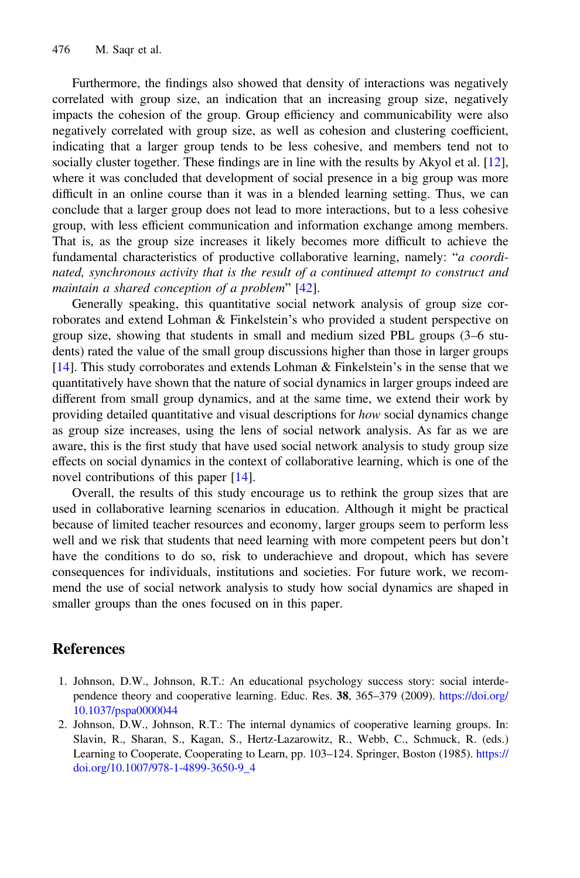<span id="page-10-0"></span>Furthermore, the findings also showed that density of interactions was negatively correlated with group size, an indication that an increasing group size, negatively impacts the cohesion of the group. Group efficiency and communicability were also negatively correlated with group size, as well as cohesion and clustering coefficient, indicating that a larger group tends to be less cohesive, and members tend not to socially cluster together. These findings are in line with the results by Akyol et al. [[12\]](#page-11-0), where it was concluded that development of social presence in a big group was more difficult in an online course than it was in a blended learning setting. Thus, we can conclude that a larger group does not lead to more interactions, but to a less cohesive group, with less efficient communication and information exchange among members. That is, as the group size increases it likely becomes more difficult to achieve the fundamental characteristics of productive collaborative learning, namely: "a coordinated, synchronous activity that is the result of a continued attempt to construct and maintain a shared conception of a problem" [[42\]](#page-13-0).

Generally speaking, this quantitative social network analysis of group size corroborates and extend Lohman & Finkelstein's who provided a student perspective on group size, showing that students in small and medium sized PBL groups (3–6 students) rated the value of the small group discussions higher than those in larger groups [[14\]](#page-11-0). This study corroborates and extends Lohman & Finkelstein's in the sense that we quantitatively have shown that the nature of social dynamics in larger groups indeed are different from small group dynamics, and at the same time, we extend their work by providing detailed quantitative and visual descriptions for how social dynamics change as group size increases, using the lens of social network analysis. As far as we are aware, this is the first study that have used social network analysis to study group size effects on social dynamics in the context of collaborative learning, which is one of the novel contributions of this paper [\[14](#page-11-0)].

Overall, the results of this study encourage us to rethink the group sizes that are used in collaborative learning scenarios in education. Although it might be practical because of limited teacher resources and economy, larger groups seem to perform less well and we risk that students that need learning with more competent peers but don't have the conditions to do so, risk to underachieve and dropout, which has severe consequences for individuals, institutions and societies. For future work, we recommend the use of social network analysis to study how social dynamics are shaped in smaller groups than the ones focused on in this paper.

## References

- 1. Johnson, D.W., Johnson, R.T.: An educational psychology success story: social interdependence theory and cooperative learning. Educ. Res. 38, 365–379 (2009). [https://doi.org/](http://dx.doi.org/10.1037/pspa0000044) [10.1037/pspa0000044](http://dx.doi.org/10.1037/pspa0000044)
- 2. Johnson, D.W., Johnson, R.T.: The internal dynamics of cooperative learning groups. In: Slavin, R., Sharan, S., Kagan, S., Hertz-Lazarowitz, R., Webb, C., Schmuck, R. (eds.) Learning to Cooperate, Cooperating to Learn, pp. 103–124. Springer, Boston (1985). [https://](http://dx.doi.org/10.1007/978-1-4899-3650-9_4) [doi.org/10.1007/978-1-4899-3650-9\\_4](http://dx.doi.org/10.1007/978-1-4899-3650-9_4)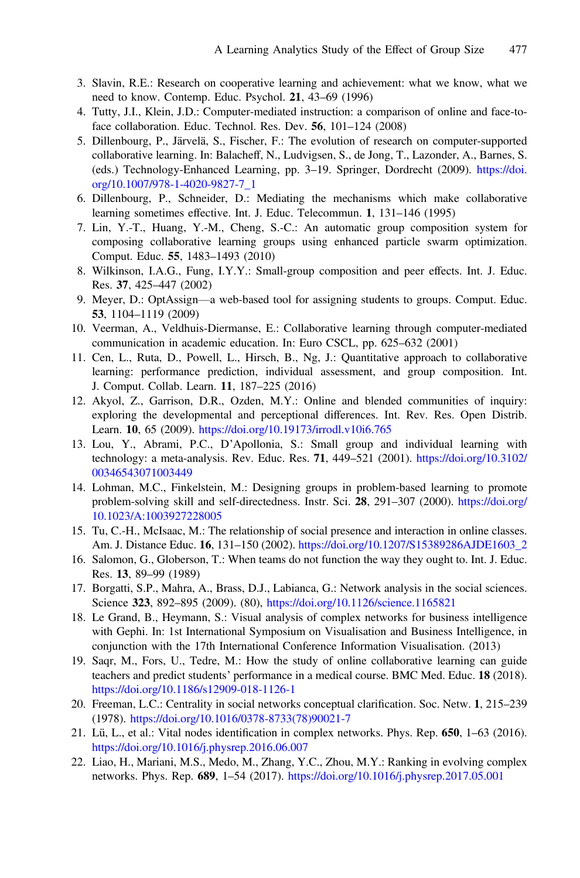- <span id="page-11-0"></span>3. Slavin, R.E.: Research on cooperative learning and achievement: what we know, what we need to know. Contemp. Educ. Psychol. 21, 43–69 (1996)
- 4. Tutty, J.I., Klein, J.D.: Computer-mediated instruction: a comparison of online and face-toface collaboration. Educ. Technol. Res. Dev. 56, 101–124 (2008)
- 5. Dillenbourg, P., Järvelä, S., Fischer, F.: The evolution of research on computer-supported collaborative learning. In: Balacheff, N., Ludvigsen, S., de Jong, T., Lazonder, A., Barnes, S. (eds.) Technology-Enhanced Learning, pp. 3–19. Springer, Dordrecht (2009). [https://doi.](http://dx.doi.org/10.1007/978-1-4020-9827-7_1) [org/10.1007/978-1-4020-9827-7\\_1](http://dx.doi.org/10.1007/978-1-4020-9827-7_1)
- 6. Dillenbourg, P., Schneider, D.: Mediating the mechanisms which make collaborative learning sometimes effective. Int. J. Educ. Telecommun. 1, 131–146 (1995)
- 7. Lin, Y.-T., Huang, Y.-M., Cheng, S.-C.: An automatic group composition system for composing collaborative learning groups using enhanced particle swarm optimization. Comput. Educ. 55, 1483–1493 (2010)
- 8. Wilkinson, I.A.G., Fung, I.Y.Y.: Small-group composition and peer effects. Int. J. Educ. Res. 37, 425–447 (2002)
- 9. Meyer, D.: OptAssign—a web-based tool for assigning students to groups. Comput. Educ. 53, 1104–1119 (2009)
- 10. Veerman, A., Veldhuis-Diermanse, E.: Collaborative learning through computer-mediated communication in academic education. In: Euro CSCL, pp. 625–632 (2001)
- 11. Cen, L., Ruta, D., Powell, L., Hirsch, B., Ng, J.: Quantitative approach to collaborative learning: performance prediction, individual assessment, and group composition. Int. J. Comput. Collab. Learn. 11, 187–225 (2016)
- 12. Akyol, Z., Garrison, D.R., Ozden, M.Y.: Online and blended communities of inquiry: exploring the developmental and perceptional differences. Int. Rev. Res. Open Distrib. Learn. 10, 65 (2009). [https://doi.org/10.19173/irrodl.v10i6.765](http://dx.doi.org/10.19173/irrodl.v10i6.765)
- 13. Lou, Y., Abrami, P.C., D'Apollonia, S.: Small group and individual learning with technology: a meta-analysis. Rev. Educ. Res. 71, 449–521 (2001). [https://doi.org/10.3102/](http://dx.doi.org/10.3102/00346543071003449) [00346543071003449](http://dx.doi.org/10.3102/00346543071003449)
- 14. Lohman, M.C., Finkelstein, M.: Designing groups in problem-based learning to promote problem-solving skill and self-directedness. Instr. Sci. 28, 291–307 (2000). [https://doi.org/](http://dx.doi.org/10.1023/A:1003927228005) [10.1023/A:1003927228005](http://dx.doi.org/10.1023/A:1003927228005)
- 15. Tu, C.-H., McIsaac, M.: The relationship of social presence and interaction in online classes. Am. J. Distance Educ. 16, 131–150 (2002). [https://doi.org/10.1207/S15389286AJDE1603\\_2](http://dx.doi.org/10.1207/S15389286AJDE1603_2)
- 16. Salomon, G., Globerson, T.: When teams do not function the way they ought to. Int. J. Educ. Res. 13, 89–99 (1989)
- 17. Borgatti, S.P., Mahra, A., Brass, D.J., Labianca, G.: Network analysis in the social sciences. Science 323, 892–895 (2009). (80), [https://doi.org/10.1126/science.1165821](http://dx.doi.org/10.1126/science.1165821)
- 18. Le Grand, B., Heymann, S.: Visual analysis of complex networks for business intelligence with Gephi. In: 1st International Symposium on Visualisation and Business Intelligence, in conjunction with the 17th International Conference Information Visualisation. (2013)
- 19. Saqr, M., Fors, U., Tedre, M.: How the study of online collaborative learning can guide teachers and predict students' performance in a medical course. BMC Med. Educ. 18 (2018). [https://doi.org/10.1186/s12909-018-1126-1](http://dx.doi.org/10.1186/s12909-018-1126-1)
- 20. Freeman, L.C.: Centrality in social networks conceptual clarification. Soc. Netw. 1, 215–239 (1978). [https://doi.org/10.1016/0378-8733\(78\)90021-7](http://dx.doi.org/10.1016/0378-8733(78)90021-7)
- 21. Lü, L., et al.: Vital nodes identification in complex networks. Phys. Rep. 650, 1–63 (2016). [https://doi.org/10.1016/j.physrep.2016.06.007](http://dx.doi.org/10.1016/j.physrep.2016.06.007)
- 22. Liao, H., Mariani, M.S., Medo, M., Zhang, Y.C., Zhou, M.Y.: Ranking in evolving complex networks. Phys. Rep. 689, 1–54 (2017). [https://doi.org/10.1016/j.physrep.2017.05.001](http://dx.doi.org/10.1016/j.physrep.2017.05.001)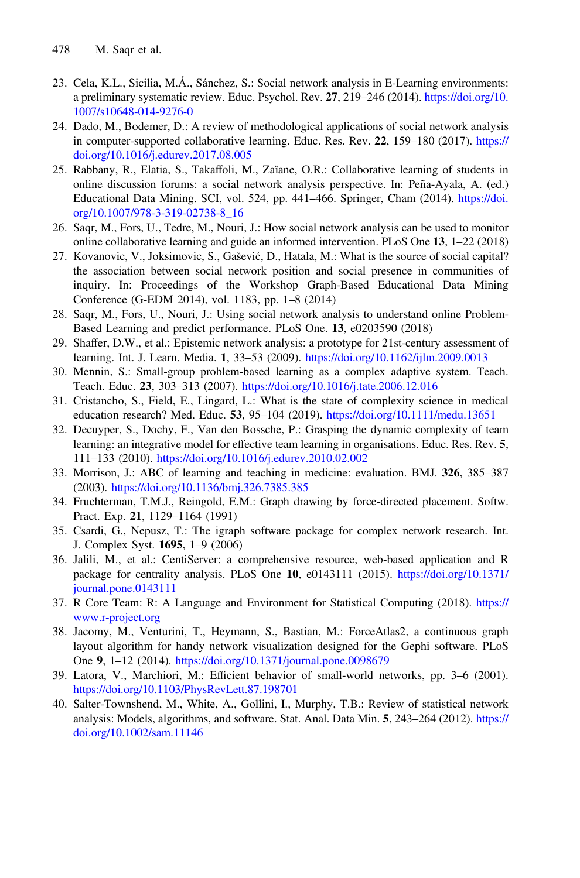- <span id="page-12-0"></span>23. Cela, K.L., Sicilia, M.Á., Sánchez, S.: Social network analysis in E-Learning environments: a preliminary systematic review. Educ. Psychol. Rev. 27, 219–246 (2014). [https://doi.org/10.](http://dx.doi.org/10.1007/s10648-014-9276-0) [1007/s10648-014-9276-0](http://dx.doi.org/10.1007/s10648-014-9276-0)
- 24. Dado, M., Bodemer, D.: A review of methodological applications of social network analysis in computer-supported collaborative learning. Educ. Res. Rev. 22, 159–180 (2017). [https://](http://dx.doi.org/10.1016/j.edurev.2017.08.005) [doi.org/10.1016/j.edurev.2017.08.005](http://dx.doi.org/10.1016/j.edurev.2017.08.005)
- 25. Rabbany, R., Elatia, S., Takaffoli, M., Zaïane, O.R.: Collaborative learning of students in online discussion forums: a social network analysis perspective. In: Peña-Ayala, A. (ed.) Educational Data Mining. SCI, vol. 524, pp. 441–466. Springer, Cham (2014). [https://doi.](http://dx.doi.org/10.1007/978-3-319-02738-8_16) [org/10.1007/978-3-319-02738-8\\_16](http://dx.doi.org/10.1007/978-3-319-02738-8_16)
- 26. Saqr, M., Fors, U., Tedre, M., Nouri, J.: How social network analysis can be used to monitor online collaborative learning and guide an informed intervention. PLoS One 13, 1–22 (2018)
- 27. Kovanovic, V., Joksimovic, S., Gašević, D., Hatala, M.: What is the source of social capital? the association between social network position and social presence in communities of inquiry. In: Proceedings of the Workshop Graph-Based Educational Data Mining Conference (G-EDM 2014), vol. 1183, pp. 1–8 (2014)
- 28. Saqr, M., Fors, U., Nouri, J.: Using social network analysis to understand online Problem-Based Learning and predict performance. PLoS One. 13, e0203590 (2018)
- 29. Shaffer, D.W., et al.: Epistemic network analysis: a prototype for 21st-century assessment of learning. Int. J. Learn. Media. 1, 33–53 (2009). [https://doi.org/10.1162/ijlm.2009.0013](http://dx.doi.org/10.1162/ijlm.2009.0013)
- 30. Mennin, S.: Small-group problem-based learning as a complex adaptive system. Teach. Teach. Educ. 23, 303–313 (2007). [https://doi.org/10.1016/j.tate.2006.12.016](http://dx.doi.org/10.1016/j.tate.2006.12.016)
- 31. Cristancho, S., Field, E., Lingard, L.: What is the state of complexity science in medical education research? Med. Educ. 53, 95–104 (2019). [https://doi.org/10.1111/medu.13651](http://dx.doi.org/10.1111/medu.13651)
- 32. Decuyper, S., Dochy, F., Van den Bossche, P.: Grasping the dynamic complexity of team learning: an integrative model for effective team learning in organisations. Educ. Res. Rev. 5, 111–133 (2010). [https://doi.org/10.1016/j.edurev.2010.02.002](http://dx.doi.org/10.1016/j.edurev.2010.02.002)
- 33. Morrison, J.: ABC of learning and teaching in medicine: evaluation. BMJ. 326, 385–387 (2003). [https://doi.org/10.1136/bmj.326.7385.385](http://dx.doi.org/10.1136/bmj.326.7385.385)
- 34. Fruchterman, T.M.J., Reingold, E.M.: Graph drawing by force-directed placement. Softw. Pract. Exp. 21, 1129–1164 (1991)
- 35. Csardi, G., Nepusz, T.: The igraph software package for complex network research. Int. J. Complex Syst. 1695, 1–9 (2006)
- 36. Jalili, M., et al.: CentiServer: a comprehensive resource, web-based application and R package for centrality analysis. PLoS One 10, e0143111 (2015). [https://doi.org/10.1371/](http://dx.doi.org/10.1371/journal.pone.0143111) [journal.pone.0143111](http://dx.doi.org/10.1371/journal.pone.0143111)
- 37. R Core Team: R: A Language and Environment for Statistical Computing (2018). [https://](https://www.r-project.org) [www.r-project.org](https://www.r-project.org)
- 38. Jacomy, M., Venturini, T., Heymann, S., Bastian, M.: ForceAtlas2, a continuous graph layout algorithm for handy network visualization designed for the Gephi software. PLoS One 9, 1–12 (2014). [https://doi.org/10.1371/journal.pone.0098679](http://dx.doi.org/10.1371/journal.pone.0098679)
- 39. Latora, V., Marchiori, M.: Efficient behavior of small-world networks, pp. 3–6 (2001). [https://doi.org/10.1103/PhysRevLett.87.198701](http://dx.doi.org/10.1103/PhysRevLett.87.198701)
- 40. Salter-Townshend, M., White, A., Gollini, I., Murphy, T.B.: Review of statistical network analysis: Models, algorithms, and software. Stat. Anal. Data Min. 5, 243–264 (2012). [https://](http://dx.doi.org/10.1002/sam.11146) [doi.org/10.1002/sam.11146](http://dx.doi.org/10.1002/sam.11146)